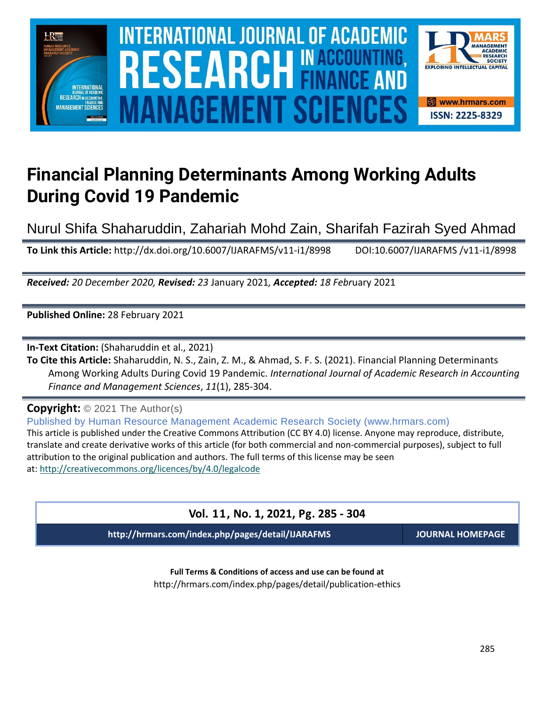

## **Financial Planning Determinants Among Working Adults During Covid 19 Pandemic**

Nurul Shifa Shaharuddin, Zahariah Mohd Zain, Sharifah Fazirah Syed Ahmad

**To Link this Article:** http://dx.doi.org/10.6007/IJARAFMS/v11-i1/8998 DOI:10.6007/IJARAFMS /v11-i1/8998

*Received: 20 December 2020, Revised: 23* January 2021*, Accepted: 18 Febr*uary 2021

**Published Online:** 28 February 2021

**In-Text Citation:** (Shaharuddin et al., 2021)

**To Cite this Article:** Shaharuddin, N. S., Zain, Z. M., & Ahmad, S. F. S. (2021). Financial Planning Determinants Among Working Adults During Covid 19 Pandemic. *International Journal of Academic Research in Accounting Finance and Management Sciences*, *11*(1), 285-304.

**Copyright:** © 2021 The Author(s)

Published by Human Resource Management Academic Research Society (www.hrmars.com) This article is published under the Creative Commons Attribution (CC BY 4.0) license. Anyone may reproduce, distribute, translate and create derivative works of this article (for both commercial and non-commercial purposes), subject to full attribution to the original publication and authors. The full terms of this license may be seen at: <http://creativecommons.org/licences/by/4.0/legalcode>

#### **Vol. 11, No. 1, 2021, Pg. 285 - 304**

**http://hrmars.com/index.php/pages/detail/IJARAFMS JOURNAL HOMEPAGE**

**Full Terms & Conditions of access and use can be found at** http://hrmars.com/index.php/pages/detail/publication-ethics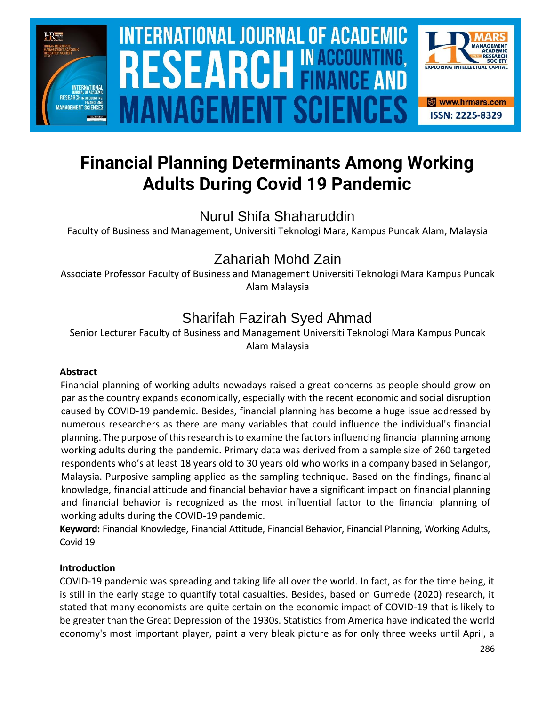

# **INTERNATIONAL JOURNAL OF ACADEMIC** SOURCE NEWSLET AND RELEASE OF THE SCIENCE OF THE SCIENCE OF THE SCIENCE OF THE SCIENCE OF THE SCIENCE OF THE SCIENCE **Vol. 1 1 , No. 1, 2021, E-ISSN: 2225-8329 © 2021 HRMARS ANAGEMENT SCIEI**



## **Financial Planning Determinants Among Working Adults During Covid 19 Pandemic**

Nurul Shifa Shaharuddin

Faculty of Business and Management, Universiti Teknologi Mara, Kampus Puncak Alam, Malaysia

### Zahariah Mohd Zain

Associate Professor Faculty of Business and Management Universiti Teknologi Mara Kampus Puncak Alam Malaysia

## Sharifah Fazirah Syed Ahmad

Senior Lecturer Faculty of Business and Management Universiti Teknologi Mara Kampus Puncak Alam Malaysia

#### **Abstract**

Financial planning of working adults nowadays raised a great concerns as people should grow on par as the country expands economically, especially with the recent economic and social disruption caused by COVID-19 pandemic. Besides, financial planning has become a huge issue addressed by numerous researchers as there are many variables that could influence the individual's financial planning. The purpose of this research is to examine the factors influencing financial planning among working adults during the pandemic. Primary data was derived from a sample size of 260 targeted respondents who's at least 18 years old to 30 years old who works in a company based in Selangor, Malaysia. Purposive sampling applied as the sampling technique. Based on the findings, financial knowledge, financial attitude and financial behavior have a significant impact on financial planning and financial behavior is recognized as the most influential factor to the financial planning of working adults during the COVID-19 pandemic.

**Keyword:** Financial Knowledge, Financial Attitude, Financial Behavior, Financial Planning, Working Adults, Covid 19

#### **Introduction**

COVID-19 pandemic was spreading and taking life all over the world. In fact, as for the time being, it is still in the early stage to quantify total casualties. Besides, based on Gumede (2020) research, it stated that many economists are quite certain on the economic impact of COVID-19 that is likely to be greater than the Great Depression of the 1930s. Statistics from America have indicated the world economy's most important player, paint a very bleak picture as for only three weeks until April, a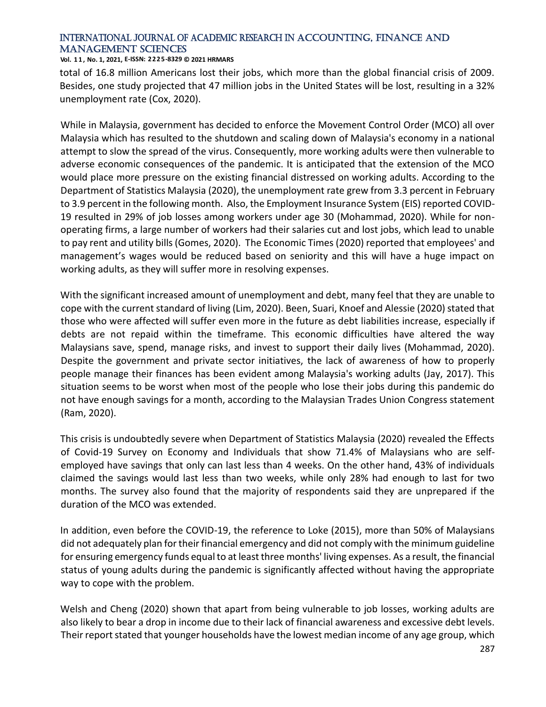#### **Vol. 1 1 , No. 1, 2021, E-ISSN: 2225-8329 © 2021 HRMARS**

total of 16.8 million Americans lost their jobs, which more than the global financial crisis of 2009. Besides, one study projected that 47 million jobs in the United States will be lost, resulting in a 32% unemployment rate (Cox, 2020).

While in Malaysia, government has decided to enforce the Movement Control Order (MCO) all over Malaysia which has resulted to the shutdown and scaling down of Malaysia's economy in a national attempt to slow the spread of the virus. Consequently, more working adults were then vulnerable to adverse economic consequences of the pandemic. It is anticipated that the extension of the MCO would place more pressure on the existing financial distressed on working adults. According to the Department of Statistics Malaysia (2020), the unemployment rate grew from 3.3 percent in February to 3.9 percent in the following month. Also, the Employment Insurance System (EIS) reported COVID-19 resulted in 29% of job losses among workers under age 30 (Mohammad, 2020). While for nonoperating firms, a large number of workers had their salaries cut and lost jobs, which lead to unable to pay rent and utility bills (Gomes, 2020). The Economic Times (2020) reported that employees' and management's wages would be reduced based on seniority and this will have a huge impact on working adults, as they will suffer more in resolving expenses.

With the significant increased amount of unemployment and debt, many feel that they are unable to cope with the current standard of living (Lim, 2020). Been, Suari, Knoef and Alessie (2020) stated that those who were affected will suffer even more in the future as debt liabilities increase, especially if debts are not repaid within the timeframe. This economic difficulties have altered the way Malaysians save, spend, manage risks, and invest to support their daily lives (Mohammad, 2020). Despite the government and private sector initiatives, the lack of awareness of how to properly people manage their finances has been evident among Malaysia's working adults (Jay, 2017). This situation seems to be worst when most of the people who lose their jobs during this pandemic do not have enough savings for a month, according to the Malaysian Trades Union Congress statement (Ram, 2020).

This crisis is undoubtedly severe when Department of Statistics Malaysia (2020) revealed the Effects of Covid-19 Survey on Economy and Individuals that show 71.4% of Malaysians who are selfemployed have savings that only can last less than 4 weeks. On the other hand, 43% of individuals claimed the savings would last less than two weeks, while only 28% had enough to last for two months. The survey also found that the majority of respondents said they are unprepared if the duration of the MCO was extended.

In addition, even before the COVID-19, the reference to Loke (2015), more than 50% of Malaysians did not adequately plan for their financial emergency and did not comply with the minimum guideline for ensuring emergency funds equal to at least three months' living expenses. As a result, the financial status of young adults during the pandemic is significantly affected without having the appropriate way to cope with the problem.

Welsh and Cheng (2020) shown that apart from being vulnerable to job losses, working adults are also likely to bear a drop in income due to their lack of financial awareness and excessive debt levels. Their report stated that younger households have the lowest median income of any age group, which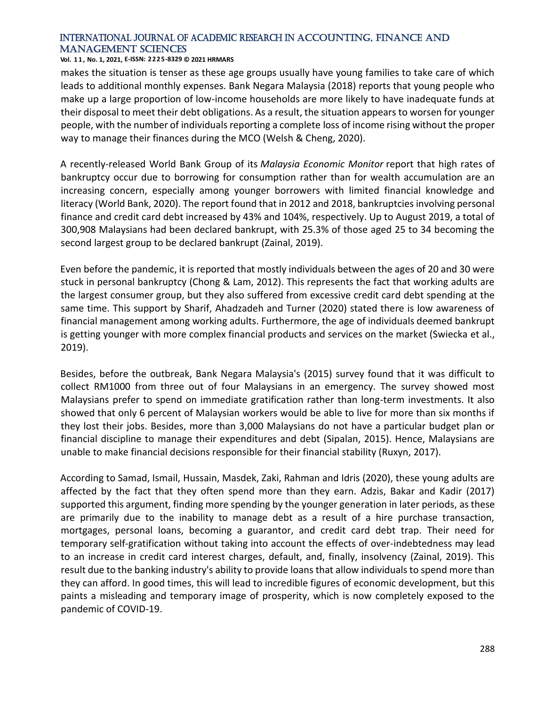#### **Vol. 1 1 , No. 1, 2021, E-ISSN: 2225-8329 © 2021 HRMARS**

makes the situation is tenser as these age groups usually have young families to take care of which leads to additional monthly expenses. Bank Negara Malaysia (2018) reports that young people who make up a large proportion of low-income households are more likely to have inadequate funds at their disposal to meet their debt obligations. As a result, the situation appears to worsen for younger people, with the number of individuals reporting a complete loss of income rising without the proper way to manage their finances during the MCO (Welsh & Cheng, 2020).

A recently-released World Bank Group of its *Malaysia Economic Monitor* report that high rates of bankruptcy occur due to borrowing for consumption rather than for wealth accumulation are an increasing concern, especially among younger borrowers with limited financial knowledge and literacy (World Bank, 2020). The report found that in 2012 and 2018, bankruptcies involving personal finance and credit card debt increased by 43% and 104%, respectively. Up to August 2019, a total of 300,908 Malaysians had been declared bankrupt, with 25.3% of those aged 25 to 34 becoming the second largest group to be declared bankrupt (Zainal, 2019).

Even before the pandemic, it is reported that mostly individuals between the ages of 20 and 30 were stuck in personal bankruptcy (Chong & Lam, 2012). This represents the fact that working adults are the largest consumer group, but they also suffered from excessive credit card debt spending at the same time. This support by Sharif, Ahadzadeh and Turner (2020) stated there is low awareness of financial management among working adults. Furthermore, the age of individuals deemed bankrupt is getting younger with more complex financial products and services on the market (Swiecka et al., 2019).

Besides, before the outbreak, Bank Negara Malaysia's (2015) survey found that it was difficult to collect RM1000 from three out of four Malaysians in an emergency. The survey showed most Malaysians prefer to spend on immediate gratification rather than long-term investments. It also showed that only 6 percent of Malaysian workers would be able to live for more than six months if they lost their jobs. Besides, more than 3,000 Malaysians do not have a particular budget plan or financial discipline to manage their expenditures and debt (Sipalan, 2015). Hence, Malaysians are unable to make financial decisions responsible for their financial stability (Ruxyn, 2017).

According to Samad, Ismail, Hussain, Masdek, Zaki, Rahman and Idris (2020), these young adults are affected by the fact that they often spend more than they earn. Adzis, Bakar and Kadir (2017) supported this argument, finding more spending by the younger generation in later periods, as these are primarily due to the inability to manage debt as a result of a hire purchase transaction, mortgages, personal loans, becoming a guarantor, and credit card debt trap. Their need for temporary self-gratification without taking into account the effects of over-indebtedness may lead to an increase in credit card interest charges, default, and, finally, insolvency (Zainal, 2019). This result due to the banking industry's ability to provide loans that allow individuals to spend more than they can afford. In good times, this will lead to incredible figures of economic development, but this paints a misleading and temporary image of prosperity, which is now completely exposed to the pandemic of COVID-19.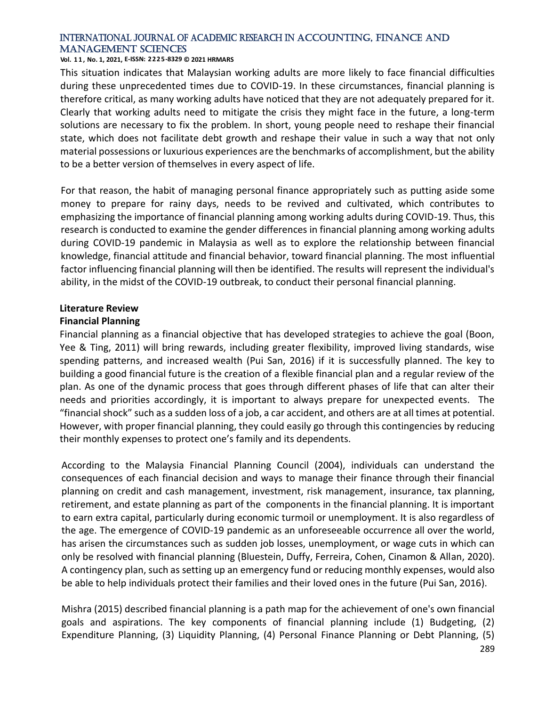#### **Vol. 1 1 , No. 1, 2021, E-ISSN: 2225-8329 © 2021 HRMARS**

This situation indicates that Malaysian working adults are more likely to face financial difficulties during these unprecedented times due to COVID-19. In these circumstances, financial planning is therefore critical, as many working adults have noticed that they are not adequately prepared for it. Clearly that working adults need to mitigate the crisis they might face in the future, a long-term solutions are necessary to fix the problem. In short, young people need to reshape their financial state, which does not facilitate debt growth and reshape their value in such a way that not only material possessions or luxurious experiences are the benchmarks of accomplishment, but the ability to be a better version of themselves in every aspect of life.

For that reason, the habit of managing personal finance appropriately such as putting aside some money to prepare for rainy days, needs to be revived and cultivated, which contributes to emphasizing the importance of financial planning among working adults during COVID-19. Thus, this research is conducted to examine the gender differences in financial planning among working adults during COVID-19 pandemic in Malaysia as well as to explore the relationship between financial knowledge, financial attitude and financial behavior, toward financial planning. The most influential factor influencing financial planning will then be identified. The results will represent the individual's ability, in the midst of the COVID-19 outbreak, to conduct their personal financial planning.

#### **Literature Review**

#### **Financial Planning**

Financial planning as a financial objective that has developed strategies to achieve the goal (Boon, Yee & Ting, 2011) will bring rewards, including greater flexibility, improved living standards, wise spending patterns, and increased wealth (Pui San, 2016) if it is successfully planned. The key to building a good financial future is the creation of a flexible financial plan and a regular review of the plan. As one of the dynamic process that goes through different phases of life that can alter their needs and priorities accordingly, it is important to always prepare for unexpected events. The "financial shock" such as a sudden loss of a job, a car accident, and others are at all times at potential. However, with proper financial planning, they could easily go through this contingencies by reducing their monthly expenses to protect one's family and its dependents.

According to the Malaysia Financial Planning Council (2004), individuals can understand the consequences of each financial decision and ways to manage their finance through their financial planning on credit and cash management, investment, risk management, insurance, tax planning, retirement, and estate planning as part of the components in the financial planning. It is important to earn extra capital, particularly during economic turmoil or unemployment. It is also regardless of the age. The emergence of COVID-19 pandemic as an unforeseeable occurrence all over the world, has arisen the circumstances such as sudden job losses, unemployment, or wage cuts in which can only be resolved with financial planning (Bluestein, Duffy, Ferreira, Cohen, Cinamon & Allan, 2020). A contingency plan, such as setting up an emergency fund or reducing monthly expenses, would also be able to help individuals protect their families and their loved ones in the future (Pui San, 2016).

Mishra (2015) described financial planning is a path map for the achievement of one's own financial goals and aspirations. The key components of financial planning include (1) Budgeting, (2) Expenditure Planning, (3) Liquidity Planning, (4) Personal Finance Planning or Debt Planning, (5)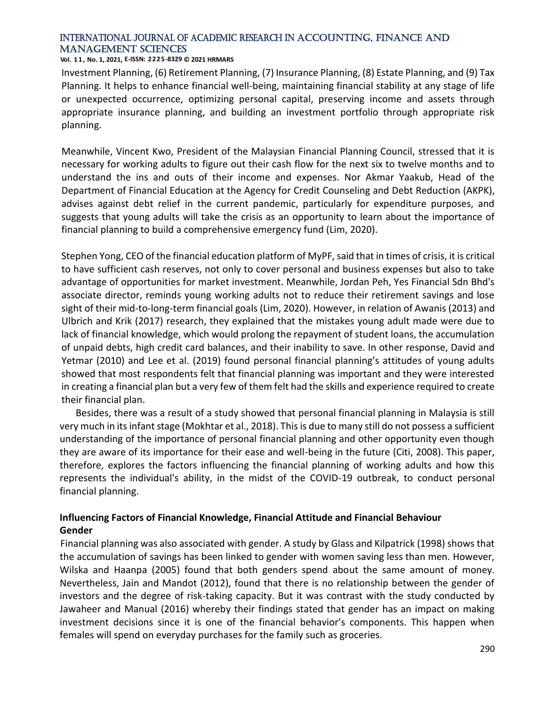#### **Vol. 1 1 , No. 1, 2021, E-ISSN: 2225-8329 © 2021 HRMARS**

Investment Planning, (6) Retirement Planning, (7) Insurance Planning, (8) Estate Planning, and (9) Tax Planning. It helps to enhance financial well-being, maintaining financial stability at any stage of life or unexpected occurrence, optimizing personal capital, preserving income and assets through appropriate insurance planning, and building an investment portfolio through appropriate risk planning.

Meanwhile, Vincent Kwo, President of the Malaysian Financial Planning Council, stressed that it is necessary for working adults to figure out their cash flow for the next six to twelve months and to understand the ins and outs of their income and expenses. Nor Akmar Yaakub, Head of the Department of Financial Education at the Agency for Credit Counseling and Debt Reduction (AKPK), advises against debt relief in the current pandemic, particularly for expenditure purposes, and suggests that young adults will take the crisis as an opportunity to learn about the importance of financial planning to build a comprehensive emergency fund (Lim, 2020).

Stephen Yong, CEO of the financial education platform of MyPF, said that in times of crisis, it is critical to have sufficient cash reserves, not only to cover personal and business expenses but also to take advantage of opportunities for market investment. Meanwhile, Jordan Peh, Yes Financial Sdn Bhd's associate director, reminds young working adults not to reduce their retirement savings and lose sight of their mid-to-long-term financial goals (Lim, 2020). However, in relation of Awanis (2013) and Ulbrich and Krik (2017) research, they explained that the mistakes young adult made were due to lack of financial knowledge, which would prolong the repayment of student loans, the accumulation of unpaid debts, high credit card balances, and their inability to save. In other response, David and Yetmar (2010) and Lee et al. (2019) found personal financial planning's attitudes of young adults showed that most respondents felt that financial planning was important and they were interested in creating a financial plan but a very few of them felt had the skills and experience required to create their financial plan.

Besides, there was a result of a study showed that personal financial planning in Malaysia is still very much in its infant stage (Mokhtar et al., 2018). This is due to many still do not possess a sufficient understanding of the importance of personal financial planning and other opportunity even though they are aware of its importance for their ease and well-being in the future (Citi, 2008). This paper, therefore, explores the factors influencing the financial planning of working adults and how this represents the individual's ability, in the midst of the COVID-19 outbreak, to conduct personal financial planning.

#### **Influencing Factors of Financial Knowledge, Financial Attitude and Financial Behaviour Gender**

Financial planning was also associated with gender. A study by Glass and Kilpatrick (1998) shows that the accumulation of savings has been linked to gender with women saving less than men. However, Wilska and Haanpa (2005) found that both genders spend about the same amount of money. Nevertheless, Jain and Mandot (2012), found that there is no relationship between the gender of investors and the degree of risk-taking capacity. But it was contrast with the study conducted by Jawaheer and Manual (2016) whereby their findings stated that gender has an impact on making investment decisions since it is one of the financial behavior's components. This happen when females will spend on everyday purchases for the family such as groceries.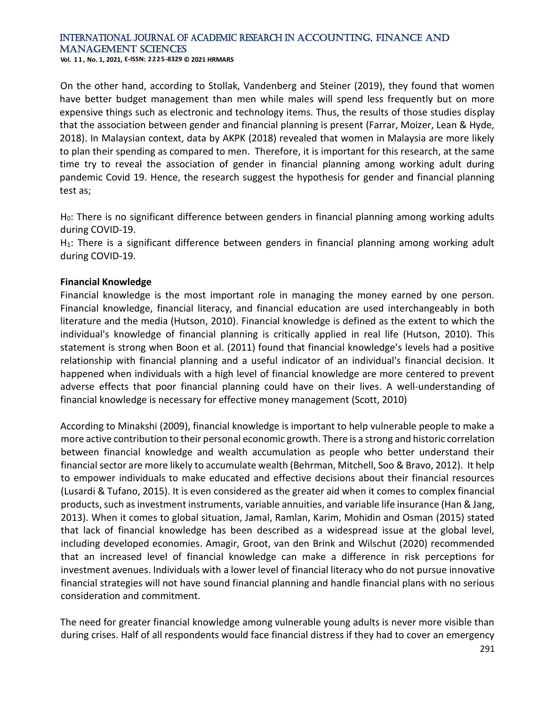**Vol. 1 1 , No. 1, 2021, E-ISSN: 2225-8329 © 2021 HRMARS**

On the other hand, according to Stollak, Vandenberg and Steiner (2019), they found that women have better budget management than men while males will spend less frequently but on more expensive things such as electronic and technology items. Thus, the results of those studies display that the association between gender and financial planning is present (Farrar, Moizer, Lean & Hyde, 2018). In Malaysian context, data by AKPK (2018) revealed that women in Malaysia are more likely to plan their spending as compared to men. Therefore, it is important for this research, at the same time try to reveal the association of gender in financial planning among working adult during pandemic Covid 19. Hence, the research suggest the hypothesis for gender and financial planning test as;

H<sub>0</sub>: There is no significant difference between genders in financial planning among working adults during COVID-19.

H<sub>1</sub>: There is a significant difference between genders in financial planning among working adult during COVID-19.

#### **Financial Knowledge**

Financial knowledge is the most important role in managing the money earned by one person. Financial knowledge, financial literacy, and financial education are used interchangeably in both literature and the media (Hutson, 2010). Financial knowledge is defined as the extent to which the individual's knowledge of financial planning is critically applied in real life (Hutson, 2010). This statement is strong when Boon et al. (2011) found that financial knowledge's levels had a positive relationship with financial planning and a useful indicator of an individual's financial decision. It happened when individuals with a high level of financial knowledge are more centered to prevent adverse effects that poor financial planning could have on their lives. A well-understanding of financial knowledge is necessary for effective money management (Scott, 2010)

According to Minakshi (2009), financial knowledge is important to help vulnerable people to make a more active contribution to their personal economic growth. There is a strong and historic correlation between financial knowledge and wealth accumulation as people who better understand their financial sector are more likely to accumulate wealth (Behrman, Mitchell, Soo & Bravo, 2012). It help to empower individuals to make educated and effective decisions about their financial resources (Lusardi & Tufano, 2015). It is even considered as the greater aid when it comes to complex financial products, such as investment instruments, variable annuities, and variable life insurance (Han & Jang, 2013). When it comes to global situation, Jamal, Ramlan, Karim, Mohidin and Osman (2015) stated that lack of financial knowledge has been described as a widespread issue at the global level, including developed economies. Amagir, Groot, van den Brink and Wilschut (2020) recommended that an increased level of financial knowledge can make a difference in risk perceptions for investment avenues. Individuals with a lower level of financial literacy who do not pursue innovative financial strategies will not have sound financial planning and handle financial plans with no serious consideration and commitment.

The need for greater financial knowledge among vulnerable young adults is never more visible than during crises. Half of all respondents would face financial distress if they had to cover an emergency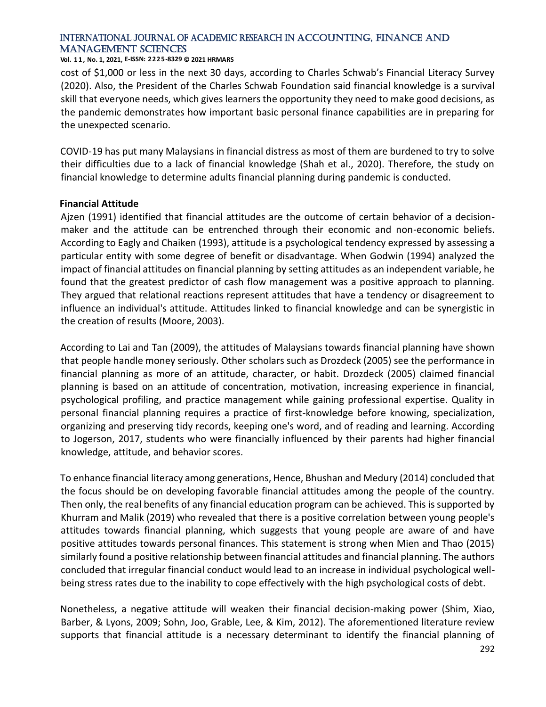#### **Vol. 1 1 , No. 1, 2021, E-ISSN: 2225-8329 © 2021 HRMARS**

cost of \$1,000 or less in the next 30 days, according to Charles Schwab's Financial Literacy Survey (2020). Also, the President of the Charles Schwab Foundation said financial knowledge is a survival skill that everyone needs, which gives learners the opportunity they need to make good decisions, as the pandemic demonstrates how important basic personal finance capabilities are in preparing for the unexpected scenario.

COVID-19 has put many Malaysians in financial distress as most of them are burdened to try to solve their difficulties due to a lack of financial knowledge (Shah et al., 2020). Therefore, the study on financial knowledge to determine adults financial planning during pandemic is conducted.

#### **Financial Attitude**

Ajzen (1991) identified that financial attitudes are the outcome of certain behavior of a decisionmaker and the attitude can be entrenched through their economic and non-economic beliefs. According to Eagly and Chaiken (1993), attitude is a psychological tendency expressed by assessing a particular entity with some degree of benefit or disadvantage. When Godwin (1994) analyzed the impact of financial attitudes on financial planning by setting attitudes as an independent variable, he found that the greatest predictor of cash flow management was a positive approach to planning. They argued that relational reactions represent attitudes that have a tendency or disagreement to influence an individual's attitude. Attitudes linked to financial knowledge and can be synergistic in the creation of results (Moore, 2003).

According to Lai and Tan (2009), the attitudes of Malaysians towards financial planning have shown that people handle money seriously. Other scholars such as Drozdeck (2005) see the performance in financial planning as more of an attitude, character, or habit. Drozdeck (2005) claimed financial planning is based on an attitude of concentration, motivation, increasing experience in financial, psychological profiling, and practice management while gaining professional expertise. Quality in personal financial planning requires a practice of first-knowledge before knowing, specialization, organizing and preserving tidy records, keeping one's word, and of reading and learning. According to Jogerson, 2017, students who were financially influenced by their parents had higher financial knowledge, attitude, and behavior scores.

To enhance financial literacy among generations, Hence, Bhushan and Medury (2014) concluded that the focus should be on developing favorable financial attitudes among the people of the country. Then only, the real benefits of any financial education program can be achieved. This is supported by Khurram and Malik (2019) who revealed that there is a positive correlation between young people's attitudes towards financial planning, which suggests that young people are aware of and have positive attitudes towards personal finances. This statement is strong when Mien and Thao (2015) similarly found a positive relationship between financial attitudes and financial planning. The authors concluded that irregular financial conduct would lead to an increase in individual psychological wellbeing stress rates due to the inability to cope effectively with the high psychological costs of debt.

Nonetheless, a negative attitude will weaken their financial decision-making power (Shim, Xiao, Barber, & Lyons, 2009; Sohn, Joo, Grable, Lee, & Kim, 2012). The aforementioned literature review supports that financial attitude is a necessary determinant to identify the financial planning of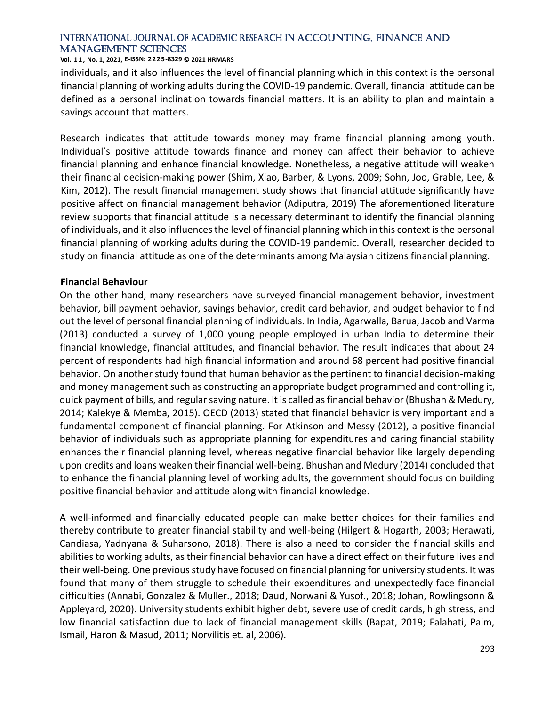#### **Vol. 1 1 , No. 1, 2021, E-ISSN: 2225-8329 © 2021 HRMARS**

individuals, and it also influences the level of financial planning which in this context is the personal financial planning of working adults during the COVID-19 pandemic. Overall, financial attitude can be defined as a personal inclination towards financial matters. It is an ability to plan and maintain a savings account that matters.

Research indicates that attitude towards money may frame financial planning among youth. Individual's positive attitude towards finance and money can affect their behavior to achieve financial planning and enhance financial knowledge. Nonetheless, a negative attitude will weaken their financial decision-making power (Shim, Xiao, Barber, & Lyons, 2009; Sohn, Joo, Grable, Lee, & Kim, 2012). The result financial management study shows that financial attitude significantly have positive affect on financial management behavior (Adiputra, 2019) The aforementioned literature review supports that financial attitude is a necessary determinant to identify the financial planning of individuals, and it also influences the level of financial planning which in this context is the personal financial planning of working adults during the COVID-19 pandemic. Overall, researcher decided to study on financial attitude as one of the determinants among Malaysian citizens financial planning.

#### **Financial Behaviour**

On the other hand, many researchers have surveyed financial management behavior, investment behavior, bill payment behavior, savings behavior, credit card behavior, and budget behavior to find out the level of personal financial planning of individuals. In India, Agarwalla, Barua, Jacob and Varma (2013) conducted a survey of 1,000 young people employed in urban India to determine their financial knowledge, financial attitudes, and financial behavior. The result indicates that about 24 percent of respondents had high financial information and around 68 percent had positive financial behavior. On another study found that human behavior as the pertinent to financial decision-making and money management such as constructing an appropriate budget programmed and controlling it, quick payment of bills, and regular saving nature. It is called as financial behavior (Bhushan & Medury, 2014; Kalekye & Memba, 2015). OECD (2013) stated that financial behavior is very important and a fundamental component of financial planning. For Atkinson and Messy (2012), a positive financial behavior of individuals such as appropriate planning for expenditures and caring financial stability enhances their financial planning level, whereas negative financial behavior like largely depending upon credits and loans weaken their financial well-being. Bhushan and Medury (2014) concluded that to enhance the financial planning level of working adults, the government should focus on building positive financial behavior and attitude along with financial knowledge.

A well-informed and financially educated people can make better choices for their families and thereby contribute to greater financial stability and well-being (Hilgert & Hogarth, 2003; Herawati, Candiasa, Yadnyana & Suharsono, 2018). There is also a need to consider the financial skills and abilities to working adults, as their financial behavior can have a direct effect on their future lives and their well-being. One previous study have focused on financial planning for university students. It was found that many of them struggle to schedule their expenditures and unexpectedly face financial difficulties (Annabi, Gonzalez & Muller., 2018; Daud, Norwani & Yusof., 2018; Johan, Rowlingsonn & Appleyard, 2020). University students exhibit higher debt, severe use of credit cards, high stress, and low financial satisfaction due to lack of financial management skills (Bapat, 2019; Falahati, Paim, Ismail, Haron & Masud, 2011; Norvilitis et. al, 2006).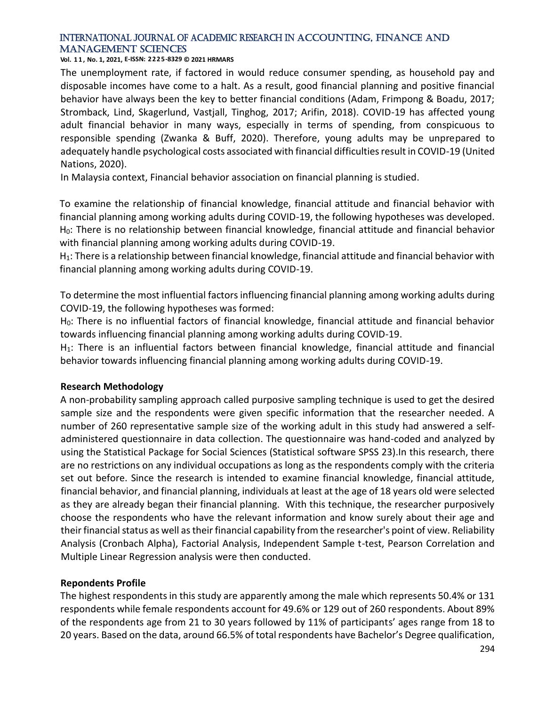#### **Vol. 1 1 , No. 1, 2021, E-ISSN: 2225-8329 © 2021 HRMARS**

The unemployment rate, if factored in would reduce consumer spending, as household pay and disposable incomes have come to a halt. As a result, good financial planning and positive financial behavior have always been the key to better financial conditions (Adam, Frimpong & Boadu, 2017; Stromback, Lind, Skagerlund, Vastjall, Tinghog, 2017; Arifin, 2018). COVID-19 has affected young adult financial behavior in many ways, especially in terms of spending, from conspicuous to responsible spending (Zwanka & Buff, 2020). Therefore, young adults may be unprepared to adequately handle psychological costs associated with financial difficulties result in COVID-19 (United Nations, 2020).

In Malaysia context, Financial behavior association on financial planning is studied.

To examine the relationship of financial knowledge, financial attitude and financial behavior with financial planning among working adults during COVID-19, the following hypotheses was developed. H0: There is no relationship between financial knowledge, financial attitude and financial behavior with financial planning among working adults during COVID-19.

H1: There is a relationship between financial knowledge, financial attitude and financial behavior with financial planning among working adults during COVID-19.

To determine the most influential factors influencing financial planning among working adults during COVID-19, the following hypotheses was formed:

H<sub>0</sub>: There is no influential factors of financial knowledge, financial attitude and financial behavior towards influencing financial planning among working adults during COVID-19.

 $H_1$ : There is an influential factors between financial knowledge, financial attitude and financial behavior towards influencing financial planning among working adults during COVID-19.

#### **Research Methodology**

A non-probability sampling approach called purposive sampling technique is used to get the desired sample size and the respondents were given specific information that the researcher needed. A number of 260 representative sample size of the working adult in this study had answered a selfadministered questionnaire in data collection. The questionnaire was hand-coded and analyzed by using the Statistical Package for Social Sciences (Statistical software SPSS 23).In this research, there are no restrictions on any individual occupations as long as the respondents comply with the criteria set out before. Since the research is intended to examine financial knowledge, financial attitude, financial behavior, and financial planning, individuals at least at the age of 18 years old were selected as they are already began their financial planning. With this technique, the researcher purposively choose the respondents who have the relevant information and know surely about their age and their financial status as well as their financial capability from the researcher's point of view. Reliability Analysis (Cronbach Alpha), Factorial Analysis, Independent Sample t-test, Pearson Correlation and Multiple Linear Regression analysis were then conducted.

#### **Repondents Profile**

The highest respondents in this study are apparently among the male which represents 50.4% or 131 respondents while female respondents account for 49.6% or 129 out of 260 respondents. About 89% of the respondents age from 21 to 30 years followed by 11% of participants' ages range from 18 to 20 years. Based on the data, around 66.5% of total respondents have Bachelor's Degree qualification,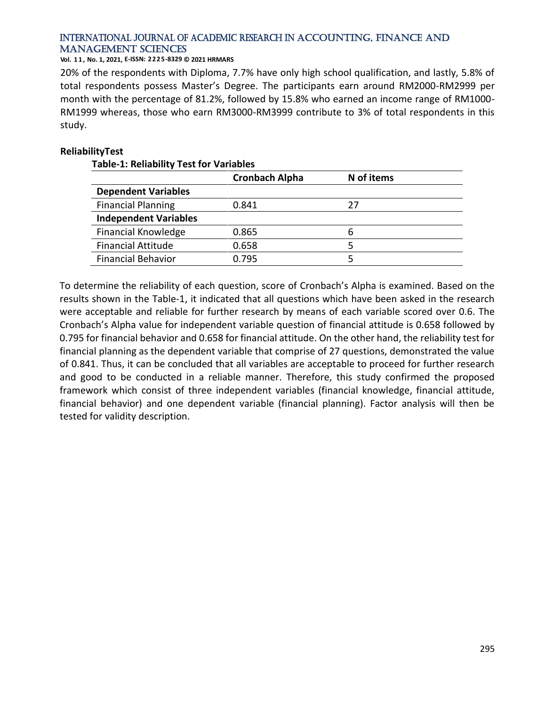**Vol. 1 1 , No. 1, 2021, E-ISSN: 2225-8329 © 2021 HRMARS**

20% of the respondents with Diploma, 7.7% have only high school qualification, and lastly, 5.8% of total respondents possess Master's Degree. The participants earn around RM2000-RM2999 per month with the percentage of 81.2%, followed by 15.8% who earned an income range of RM1000- RM1999 whereas, those who earn RM3000-RM3999 contribute to 3% of total respondents in this study.

#### **ReliabilityTest**

#### **Table-1: Reliability Test for Variables**

|                              | <b>Cronbach Alpha</b> | N of items |
|------------------------------|-----------------------|------------|
| <b>Dependent Variables</b>   |                       |            |
| <b>Financial Planning</b>    | 0.841                 | 27         |
| <b>Independent Variables</b> |                       |            |
| <b>Financial Knowledge</b>   | 0.865                 | 6          |
| <b>Financial Attitude</b>    | 0.658                 |            |
| <b>Financial Behavior</b>    | 0.795                 |            |

To determine the reliability of each question, score of Cronbach's Alpha is examined. Based on the results shown in the Table-1, it indicated that all questions which have been asked in the research were acceptable and reliable for further research by means of each variable scored over 0.6. The Cronbach's Alpha value for independent variable question of financial attitude is 0.658 followed by 0.795 for financial behavior and 0.658 for financial attitude. On the other hand, the reliability test for financial planning as the dependent variable that comprise of 27 questions, demonstrated the value of 0.841. Thus, it can be concluded that all variables are acceptable to proceed for further research and good to be conducted in a reliable manner. Therefore, this study confirmed the proposed framework which consist of three independent variables (financial knowledge, financial attitude, financial behavior) and one dependent variable (financial planning). Factor analysis will then be tested for validity description.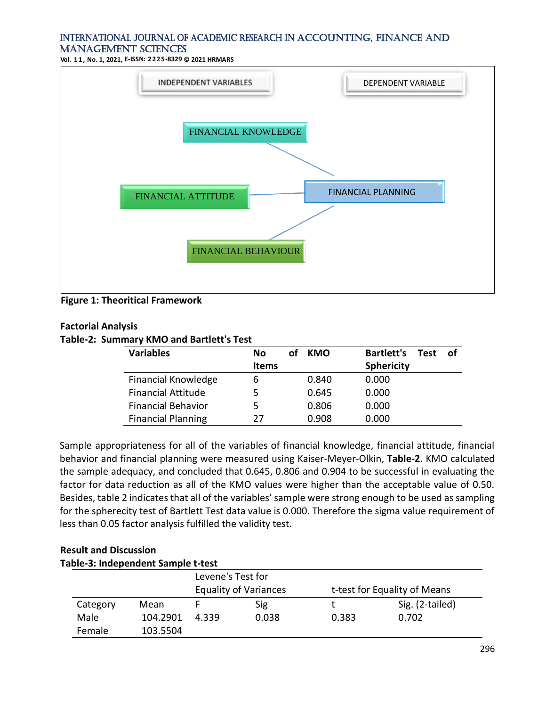**Vol. 1 1 , No. 1, 2021, E-ISSN: 2225-8329 © 2021 HRMARS**



**Figure 1: Theoritical Framework**

#### **Factorial Analysis**

**Table-2: Summary KMO and Bartlett's Test**

| <b>Variables</b>           | No           | οf | <b>KMO</b> | <b>Bartlett's</b> | <b>Test</b> | of |
|----------------------------|--------------|----|------------|-------------------|-------------|----|
|                            | <b>Items</b> |    |            | <b>Sphericity</b> |             |    |
| <b>Financial Knowledge</b> | 6            |    | 0.840      | 0.000             |             |    |
| <b>Financial Attitude</b>  | 5            |    | 0.645      | 0.000             |             |    |
| <b>Financial Behavior</b>  | 5            |    | 0.806      | 0.000             |             |    |
| <b>Financial Planning</b>  | 27           |    | 0.908      | 0.000             |             |    |

Sample appropriateness for all of the variables of financial knowledge, financial attitude, financial behavior and financial planning were measured using Kaiser-Meyer-Olkin, **Table-2**. KMO calculated the sample adequacy, and concluded that 0.645, 0.806 and 0.904 to be successful in evaluating the factor for data reduction as all of the KMO values were higher than the acceptable value of 0.50. Besides, table 2 indicates that all of the variables' sample were strong enough to be used as sampling for the spherecity test of Bartlett Test data value is 0.000. Therefore the sigma value requirement of less than 0.05 factor analysis fulfilled the validity test.

#### **Result and Discussion Table-3: Independent Sample t-test**

|          | apic 9. macpenaent sample t test |                              | Levene's Test for |                              |                 |  |  |
|----------|----------------------------------|------------------------------|-------------------|------------------------------|-----------------|--|--|
|          |                                  | <b>Equality of Variances</b> |                   | t-test for Equality of Means |                 |  |  |
| Category | Mean                             |                              | Sig               |                              | Sig. (2-tailed) |  |  |
| Male     | 104.2901                         | 4.339                        | 0.038             | 0.383                        | 0.702           |  |  |
| Female   | 103.5504                         |                              |                   |                              |                 |  |  |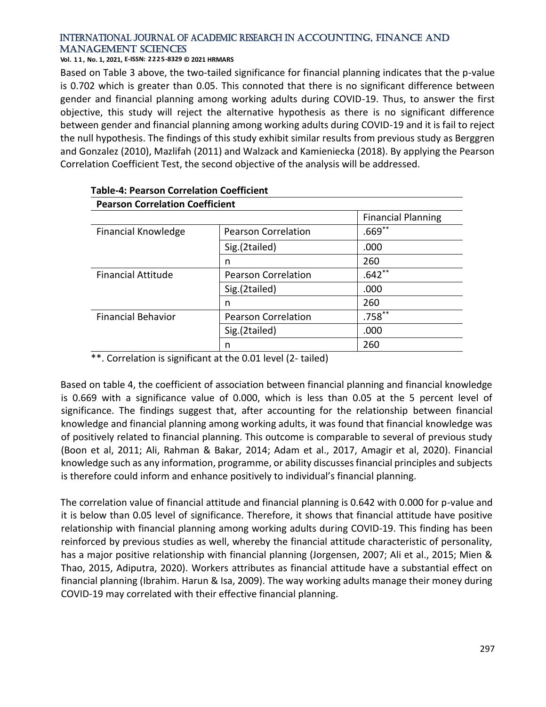**Vol. 1 1 , No. 1, 2021, E-ISSN: 2225-8329 © 2021 HRMARS**

Based on Table 3 above, the two-tailed significance for financial planning indicates that the p-value is 0.702 which is greater than 0.05. This connoted that there is no significant difference between gender and financial planning among working adults during COVID-19. Thus, to answer the first objective, this study will reject the alternative hypothesis as there is no significant difference between gender and financial planning among working adults during COVID-19 and it is fail to reject the null hypothesis. The findings of this study exhibit similar results from previous study as Berggren and Gonzalez (2010), Mazlifah (2011) and Walzack and Kamieniecka (2018). By applying the Pearson Correlation Coefficient Test, the second objective of the analysis will be addressed.

| <b>Pearson Correlation Coefficient</b> |                            |                           |  |  |  |
|----------------------------------------|----------------------------|---------------------------|--|--|--|
|                                        |                            | <b>Financial Planning</b> |  |  |  |
| Financial Knowledge                    | <b>Pearson Correlation</b> | $.669**$                  |  |  |  |
|                                        | Sig.(2tailed)              | .000                      |  |  |  |
|                                        | n                          | 260                       |  |  |  |
| <b>Financial Attitude</b>              | <b>Pearson Correlation</b> | $.642**$                  |  |  |  |
|                                        | Sig.(2tailed)              | .000                      |  |  |  |
|                                        | n                          | 260                       |  |  |  |
| <b>Financial Behavior</b>              | <b>Pearson Correlation</b> | $.758***$                 |  |  |  |
|                                        | Sig.(2tailed)              | .000                      |  |  |  |
|                                        | n                          | 260                       |  |  |  |

### **Table-4: Pearson Correlation Coefficient**

\*\*. Correlation is significant at the 0.01 level (2- tailed)

Based on table 4, the coefficient of association between financial planning and financial knowledge is 0.669 with a significance value of 0.000, which is less than 0.05 at the 5 percent level of significance. The findings suggest that, after accounting for the relationship between financial knowledge and financial planning among working adults, it was found that financial knowledge was of positively related to financial planning. This outcome is comparable to several of previous study (Boon et al, 2011; Ali, Rahman & Bakar, 2014; Adam et al., 2017, Amagir et al, 2020). Financial knowledge such as any information, programme, or ability discusses financial principles and subjects is therefore could inform and enhance positively to individual's financial planning.

The correlation value of financial attitude and financial planning is 0.642 with 0.000 for p-value and it is below than 0.05 level of significance. Therefore, it shows that financial attitude have positive relationship with financial planning among working adults during COVID-19. This finding has been reinforced by previous studies as well, whereby the financial attitude characteristic of personality, has a major positive relationship with financial planning (Jorgensen, 2007; Ali et al., 2015; Mien & Thao, 2015, Adiputra, 2020). Workers attributes as financial attitude have a substantial effect on financial planning (Ibrahim. Harun & Isa, 2009). The way working adults manage their money during COVID-19 may correlated with their effective financial planning.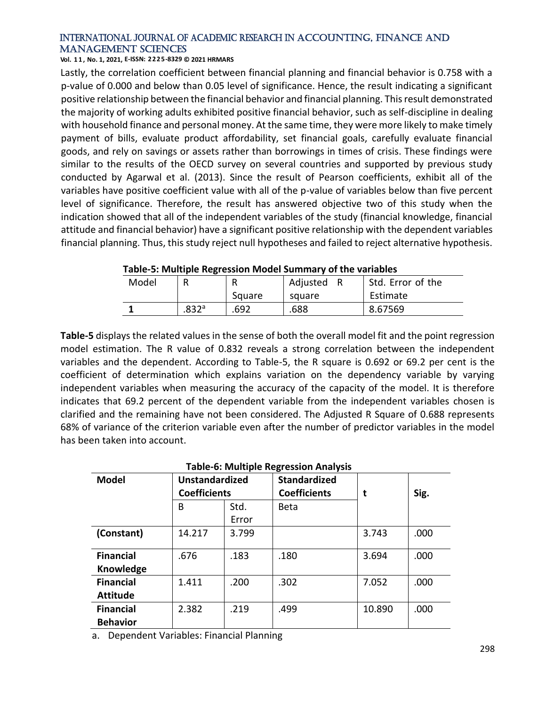#### **Vol. 1 1 , No. 1, 2021, E-ISSN: 2225-8329 © 2021 HRMARS**

Lastly, the correlation coefficient between financial planning and financial behavior is 0.758 with a p-value of 0.000 and below than 0.05 level of significance. Hence, the result indicating a significant positive relationship between the financial behavior and financial planning. This result demonstrated the majority of working adults exhibited positive financial behavior, such as self-discipline in dealing with household finance and personal money. At the same time, they were more likely to make timely payment of bills, evaluate product affordability, set financial goals, carefully evaluate financial goods, and rely on savings or assets rather than borrowings in times of crisis. These findings were similar to the results of the OECD survey on several countries and supported by previous study conducted by Agarwal et al. (2013). Since the result of Pearson coefficients, exhibit all of the variables have positive coefficient value with all of the p-value of variables below than five percent level of significance. Therefore, the result has answered objective two of this study when the indication showed that all of the independent variables of the study (financial knowledge, financial attitude and financial behavior) have a significant positive relationship with the dependent variables financial planning. Thus, this study reject null hypotheses and failed to reject alternative hypothesis.

| Model |       | R<br>Square | Adjusted<br>square | Std. Error of the<br>Estimate |
|-------|-------|-------------|--------------------|-------------------------------|
|       | .832a | .692        | 688.               | 8.67569                       |

#### **Table-5: Multiple Regression Model Summary of the variables**

**Table-5** displays the related values in the sense of both the overall model fit and the point regression model estimation. The R value of 0.832 reveals a strong correlation between the independent variables and the dependent. According to Table-5, the R square is 0.692 or 69.2 per cent is the coefficient of determination which explains variation on the dependency variable by varying independent variables when measuring the accuracy of the capacity of the model. It is therefore indicates that 69.2 percent of the dependent variable from the independent variables chosen is clarified and the remaining have not been considered. The Adjusted R Square of 0.688 represents 68% of variance of the criterion variable even after the number of predictor variables in the model has been taken into account.

| Table-6: Multiple Regression Analysis |                                              |       |                     |        |      |  |  |
|---------------------------------------|----------------------------------------------|-------|---------------------|--------|------|--|--|
| <b>Model</b>                          | <b>Unstandardized</b><br><b>Coefficients</b> |       | <b>Standardized</b> |        | Sig. |  |  |
|                                       |                                              |       | <b>Coefficients</b> | t      |      |  |  |
|                                       | B                                            | Std.  | <b>Beta</b>         |        |      |  |  |
|                                       |                                              | Error |                     |        |      |  |  |
| (Constant)                            | 14.217                                       | 3.799 |                     | 3.743  | .000 |  |  |
| <b>Financial</b>                      | .676                                         | .183  | .180                | 3.694  | .000 |  |  |
| Knowledge                             |                                              |       |                     |        |      |  |  |
| <b>Financial</b>                      | 1.411                                        | .200  | .302                | 7.052  | .000 |  |  |
| <b>Attitude</b>                       |                                              |       |                     |        |      |  |  |
| <b>Financial</b>                      | 2.382                                        | .219  | .499                | 10.890 | .000 |  |  |
| <b>Behavior</b>                       |                                              |       |                     |        |      |  |  |

#### **Table-6: Multiple Regression Analysis**

a. Dependent Variables: Financial Planning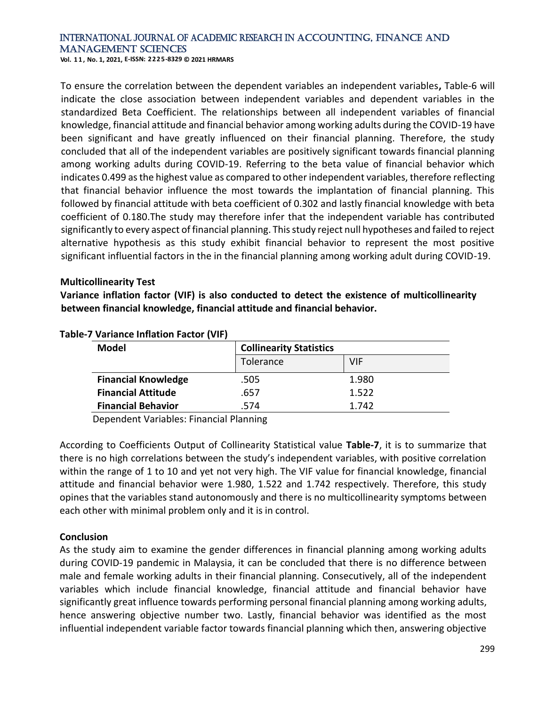**Vol. 1 1 , No. 1, 2021, E-ISSN: 2225-8329 © 2021 HRMARS**

To ensure the correlation between the dependent variables an independent variables**,** Table-6 will indicate the close association between independent variables and dependent variables in the standardized Beta Coefficient. The relationships between all independent variables of financial knowledge, financial attitude and financial behavior among working adults during the COVID-19 have been significant and have greatly influenced on their financial planning. Therefore, the study concluded that all of the independent variables are positively significant towards financial planning among working adults during COVID-19. Referring to the beta value of financial behavior which indicates 0.499 as the highest value as compared to other independent variables, therefore reflecting that financial behavior influence the most towards the implantation of financial planning. This followed by financial attitude with beta coefficient of 0.302 and lastly financial knowledge with beta coefficient of 0.180.The study may therefore infer that the independent variable has contributed significantly to every aspect of financial planning. This study reject null hypotheses and failed to reject alternative hypothesis as this study exhibit financial behavior to represent the most positive significant influential factors in the in the financial planning among working adult during COVID-19.

#### **Multicollinearity Test**

**Variance inflation factor (VIF) is also conducted to detect the existence of multicollinearity between financial knowledge, financial attitude and financial behavior.**

| <b>Model</b>               |           | <b>Collinearity Statistics</b> |  |  |
|----------------------------|-----------|--------------------------------|--|--|
|                            | Tolerance | VIF                            |  |  |
| <b>Financial Knowledge</b> | .505      | 1.980                          |  |  |
| <b>Financial Attitude</b>  | .657      | 1.522                          |  |  |
| <b>Financial Behavior</b>  | 574.      | 1.742                          |  |  |

**Table-7 Variance Inflation Factor (VIF)**

Dependent Variables: Financial Planning

According to Coefficients Output of Collinearity Statistical value **Table-7**, it is to summarize that there is no high correlations between the study's independent variables, with positive correlation within the range of 1 to 10 and yet not very high. The VIF value for financial knowledge, financial attitude and financial behavior were 1.980, 1.522 and 1.742 respectively. Therefore, this study opines that the variables stand autonomously and there is no multicollinearity symptoms between each other with minimal problem only and it is in control.

#### **Conclusion**

As the study aim to examine the gender differences in financial planning among working adults during COVID-19 pandemic in Malaysia, it can be concluded that there is no difference between male and female working adults in their financial planning. Consecutively, all of the independent variables which include financial knowledge, financial attitude and financial behavior have significantly great influence towards performing personal financial planning among working adults, hence answering objective number two. Lastly, financial behavior was identified as the most influential independent variable factor towards financial planning which then, answering objective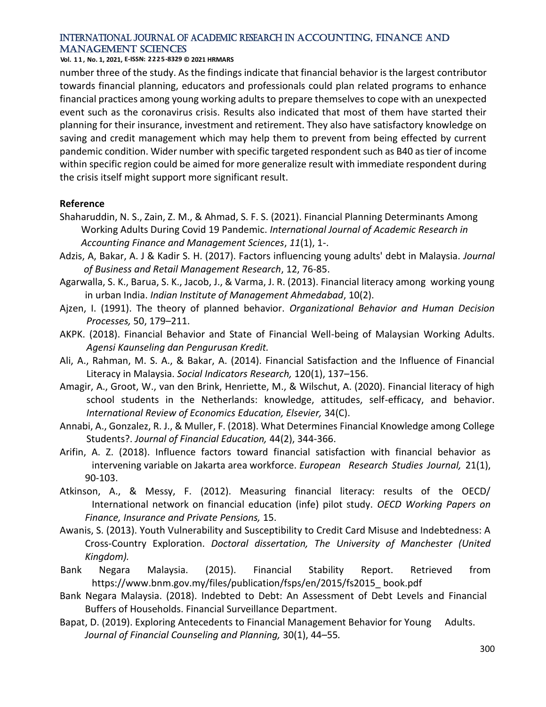**Vol. 1 1 , No. 1, 2021, E-ISSN: 2225-8329 © 2021 HRMARS**

number three of the study. As the findings indicate that financial behavior is the largest contributor towards financial planning, educators and professionals could plan related programs to enhance financial practices among young working adults to prepare themselves to cope with an unexpected event such as the coronavirus crisis. Results also indicated that most of them have started their planning for their insurance, investment and retirement. They also have satisfactory knowledge on saving and credit management which may help them to prevent from being effected by current pandemic condition. Wider number with specific targeted respondent such as B40 as tier of income within specific region could be aimed for more generalize result with immediate respondent during the crisis itself might support more significant result.

#### **Reference**

- Shaharuddin, N. S., Zain, Z. M., & Ahmad, S. F. S. (2021). Financial Planning Determinants Among Working Adults During Covid 19 Pandemic. *International Journal of Academic Research in Accounting Finance and Management Sciences*, *11*(1), 1-.
- Adzis, A, Bakar, A. J & Kadir S. H. (2017). Factors influencing young adults' debt in Malaysia. *Journal of Business and Retail Management Research*, 12, 76-85.
- Agarwalla, S. K., Barua, S. K., Jacob, J., & Varma, J. R. (2013). Financial literacy among working young in urban India. *Indian Institute of Management Ahmedabad*, 10(2).
- Ajzen, I. (1991). The theory of planned behavior. *Organizational Behavior and Human Decision Processes,* 50, 179–211.
- AKPK. (2018). Financial Behavior and State of Financial Well-being of Malaysian Working Adults. *Agensi Kaunseling dan Pengurusan Kredit.*
- Ali, A., Rahman, M. S. A., & Bakar, A. (2014). Financial Satisfaction and the Influence of Financial Literacy in Malaysia. *Social Indicators Research,* 120(1), 137–156.
- Amagir, A., Groot, W., van den Brink, Henriette, M., & Wilschut, A. (2020). Financial literacy of high school students in the Netherlands: knowledge, attitudes, self-efficacy, and behavior. *International Review of Economics Education, Elsevier,* 34(C).
- Annabi, A., Gonzalez, R. J., & Muller, F. (2018). What Determines Financial Knowledge among College Students?. *Journal of Financial Education,* 44(2), 344-366.
- Arifin, A. Z. (2018). Influence factors toward financial satisfaction with financial behavior as intervening variable on Jakarta area workforce. *European Research Studies Journal,* 21(1), 90-103.
- Atkinson, A., & Messy, F. (2012). Measuring financial literacy: results of the OECD/ International network on financial education (infe) pilot study. *OECD Working Papers on Finance, Insurance and Private Pensions,* 15.
- Awanis, S. (2013). Youth Vulnerability and Susceptibility to Credit Card Misuse and Indebtedness: A Cross-Country Exploration. *Doctoral dissertation, The University of Manchester (United Kingdom).*
- Bank Negara Malaysia. (2015). Financial Stability Report. Retrieved from [https://www.bnm.go](https://www.bnm.go/)v.my/files/publication/fsps/en/2015/fs2015\_ book.pdf
- Bank Negara Malaysia. (2018). Indebted to Debt: An Assessment of Debt Levels and Financial Buffers of Households. Financial Surveillance Department.
- Bapat, D. (2019). Exploring Antecedents to Financial Management Behavior for Young Adults. *Journal of Financial Counseling and Planning,* 30(1), 44–55*.*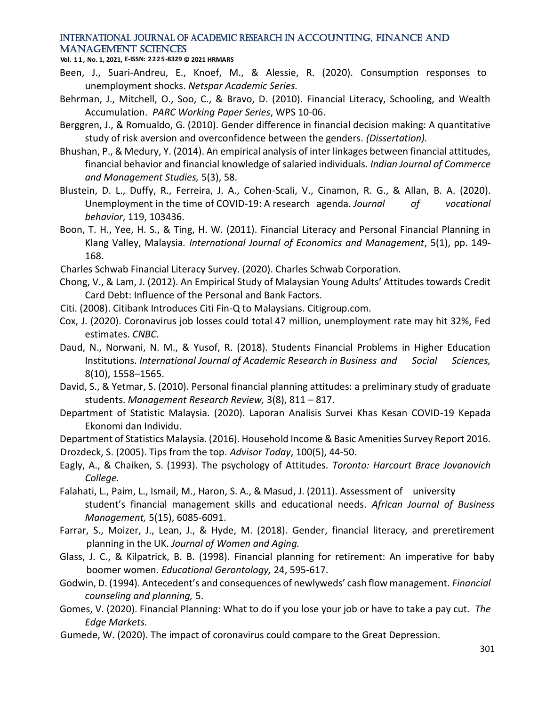**Vol. 1 1 , No. 1, 2021, E-ISSN: 2225-8329 © 2021 HRMARS**

- Been, J., Suari-Andreu, E., Knoef, M., & Alessie, R. (2020). Consumption responses to unemployment shocks. *Netspar Academic Series.*
- Behrman, J., Mitchell, O., Soo, C., & Bravo, D. (2010). Financial Literacy, Schooling, and Wealth Accumulation. *PARC Working Paper Series*, WPS 10-06.
- Berggren, J., & Romualdo, G. (2010). Gender difference in financial decision making: A quantitative study of risk aversion and overconfidence between the genders. *(Dissertation).*
- Bhushan, P., & Medury, Y. (2014). An empirical analysis of inter linkages between financial attitudes, financial behavior and financial knowledge of salaried individuals. *Indian Journal of Commerce and Management Studies,* 5(3), 58.
- Blustein, D. L., Duffy, R., Ferreira, J. A., Cohen-Scali, V., Cinamon, R. G., & Allan, B. A. (2020). Unemployment in the time of COVID-19: A research agenda. *Journal of vocational behavior*, 119, 103436.
- Boon, T. H., Yee, H. S., & Ting, H. W. (2011). Financial Literacy and Personal Financial Planning in Klang Valley, Malaysia*. International Journal of Economics and Management*, 5(1), pp. 149- 168.

Charles Schwab Financial Literacy Survey. (2020). Charles Schwab Corporation.

- Chong, V., & Lam, J. (2012). An Empirical Study of Malaysian Young Adults' Attitudes towards Credit Card Debt: Influence of the Personal and Bank Factors.
- Citi. (2008). Citibank Introduces Citi Fin-Q to Malaysians. Citigroup.com.
- Cox, J. (2020). Coronavirus job losses could total 47 million, unemployment rate may hit 32%, Fed estimates. *CNBC*.
- Daud, N., Norwani, N. M., & Yusof, R. (2018). Students Financial Problems in Higher Education Institutions. *International Journal of Academic Research in Business and Social Sciences,*  8(10), 1558–1565.
- David, S., & Yetmar, S. (2010). Personal financial planning attitudes: a preliminary study of graduate students. *Management Research Review,* 3(8), 811 – 817.
- Department of Statistic Malaysia. (2020). Laporan Analisis Survei Khas Kesan COVID-19 Kepada Ekonomi dan Individu.

Department of Statistics Malaysia. (2016). Household Income & Basic Amenities Survey Report 2016.

Drozdeck, S. (2005). Tips from the top. *Advisor Today*, 100(5), 44-50.

- Eagly, A., & Chaiken, S. (1993). The psychology of Attitudes*. Toronto: Harcourt Brace Jovanovich College.*
- Falahati, L., Paim, L., Ismail, M., Haron, S. A., & Masud, J. (2011). Assessment of university student's financial management skills and educational needs. *African Journal of Business Management,* 5(15), 6085-6091.
- Farrar, S., Moizer, J., Lean, J., & Hyde, M. (2018). Gender, financial literacy, and preretirement planning in the UK. *Journal of Women and Aging.*
- Glass, J. C., & Kilpatrick, B. B. (1998). Financial planning for retirement: An imperative for baby boomer women. *Educational Gerontology,* 24, 595-617.
- Godwin, D. (1994). Antecedent's and consequences of newlyweds' cash flow management. *Financial counseling and planning,* 5.
- Gomes, V. (2020). Financial Planning: What to do if you lose your job or have to take a pay cut. *The Edge Markets.*
- Gumede, W. (2020). The impact of coronavirus could compare to the Great Depression.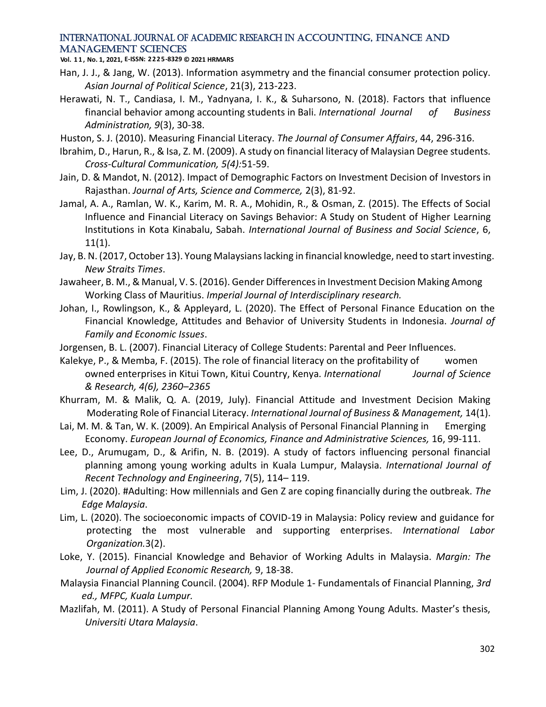**Vol. 1 1 , No. 1, 2021, E-ISSN: 2225-8329 © 2021 HRMARS**

- Han, J. J., & Jang, W. (2013). Information asymmetry and the financial consumer protection policy. *Asian Journal of Political Science*, 21(3), 213-223.
- Herawati, N. T., Candiasa, I. M., Yadnyana, I. K., & Suharsono, N. (2018). Factors that influence financial behavior among accounting students in Bali. *International Journal of Business Administration, 9*(3), 30-38.
- Huston, S. J. (2010). Measuring Financial Literacy. *The Journal of Consumer Affairs*, 44, 296-316.
- Ibrahim, D., Harun, R., & Isa, Z. M. (2009). A study on financial literacy of Malaysian Degree students. *Cross-Cultural Communication, 5(4):*51-59.
- Jain, D. & Mandot, N. (2012). Impact of Demographic Factors on Investment Decision of Investors in Rajasthan. *Journal of Arts, Science and Commerce,* 2(3), 81-92.
- Jamal, A. A., Ramlan, W. K., Karim, M. R. A., Mohidin, R., & Osman, Z. (2015). The Effects of Social Influence and Financial Literacy on Savings Behavior: A Study on Student of Higher Learning Institutions in Kota Kinabalu, Sabah. *International Journal of Business and Social Science*, 6, 11(1).
- Jay, B. N. (2017, October 13). Young Malaysians lacking in financial knowledge, need to start investing. *New Straits Times*.
- Jawaheer, B. M., & Manual, V. S. (2016). Gender Differences in Investment Decision Making Among Working Class of Mauritius. *Imperial Journal of Interdisciplinary research.*
- Johan, I., Rowlingson, K., & Appleyard, L. (2020). The Effect of Personal Finance Education on the Financial Knowledge, Attitudes and Behavior of University Students in Indonesia. *Journal of Family and Economic Issues*.
- Jorgensen, B. L. (2007). Financial Literacy of College Students: Parental and Peer Influences.
- Kalekye, P., & Memba, F. (2015). The role of financial literacy on the profitability of women owned enterprises in Kitui Town, Kitui Country, Kenya*. International Journal of Science & Research, 4(6), 2360–2365*
- Khurram, M. & Malik, Q. A. (2019, July). Financial Attitude and Investment Decision Making Moderating Role of Financial Literacy. *International Journal of Business & Management,* 14(1).
- Lai, M. M. & Tan, W. K. (2009). An Empirical Analysis of Personal Financial Planning in Emerging Economy. *European Journal of Economics, Finance and Administrative Sciences,* 16, 99-111.
- Lee, D., Arumugam, D., & Arifin, N. B. (2019). A study of factors influencing personal financial planning among young working adults in Kuala Lumpur, Malaysia. *International Journal of Recent Technology and Engineering*, 7(5), 114– 119.
- Lim, J. (2020). #Adulting: How millennials and Gen Z are coping financially during the outbreak. *The Edge Malaysia*.
- Lim, L. (2020). The socioeconomic impacts of COVID-19 in Malaysia: Policy review and guidance for protecting the most vulnerable and supporting enterprises. *International Labor Organization.*3(2).
- Loke, Y. (2015). Financial Knowledge and Behavior of Working Adults in Malaysia. *Margin: The Journal of Applied Economic Research,* 9, 18-38.
- Malaysia Financial Planning Council. (2004). RFP Module 1- Fundamentals of Financial Planning, *3rd ed., MFPC, Kuala Lumpur.*
- Mazlifah, M. (2011). A Study of Personal Financial Planning Among Young Adults. Master's thesis, *Universiti Utara Malaysia*.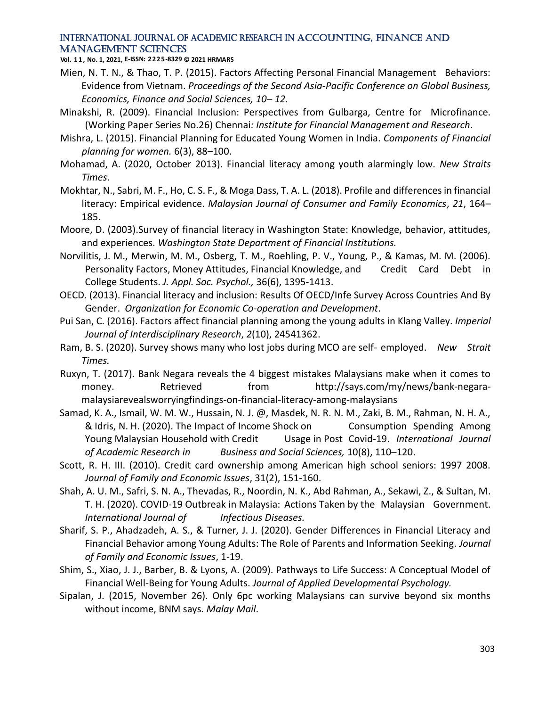**Vol. 1 1 , No. 1, 2021, E-ISSN: 2225-8329 © 2021 HRMARS**

- Mien, N. T. N., & Thao, T. P. (2015). Factors Affecting Personal Financial Management Behaviors: Evidence from Vietnam. *Proceedings of the Second Asia-Pacific Conference on Global Business, Economics, Finance and Social Sciences, 10– 12.*
- Minakshi, R. (2009). Financial Inclusion: Perspectives from Gulbarga*,* Centre for Microfinance. (Working Paper Series No.26) Chennai*: Institute for Financial Management and Research*.
- Mishra, L. (2015). Financial Planning for Educated Young Women in India. *Components of Financial planning for women.* 6(3), 88–100.
- Mohamad, A. (2020, October 2013). Financial literacy among youth alarmingly low. *New Straits Times*.
- Mokhtar, N., Sabri, M. F., Ho, C. S. F., & Moga Dass, T. A. L. (2018). Profile and differences in financial literacy: Empirical evidence. *Malaysian Journal of Consumer and Family Economics*, *21*, 164– 185.
- Moore, D. (2003).Survey of financial literacy in Washington State: Knowledge, behavior, attitudes, and experiences. *Washington State Department of Financial Institutions.*
- Norvilitis, J. M., Merwin, M. M., Osberg, T. M., Roehling, P. V., Young, P., & Kamas, M. M. (2006). Personality Factors, Money Attitudes, Financial Knowledge, and Credit Card Debt in College Students. *J. Appl. Soc. Psychol.,* 36(6), 1395-1413.
- OECD. (2013). Financial literacy and inclusion: Results Of OECD/Infe Survey Across Countries And By Gender. *Organization for Economic Co-operation and Development*.
- Pui San, C. (2016). Factors affect financial planning among the young adults in Klang Valley. *Imperial Journal of Interdisciplinary Research*, *2*(10), 24541362.
- Ram, B. S. (2020). Survey shows many who lost jobs during MCO are self- employed. *New Strait Times.*
- Ruxyn, T. (2017). Bank Negara reveals the 4 biggest mistakes Malaysians make when it comes to money. Retrieved from [http://says.com/my/news/bank-negara](http://says.com/my/news/bank-negara-malaysia-reveals)[malaysiarevealsw](http://says.com/my/news/bank-negara-malaysia-reveals)orryingfindings-on-financial-literacy-among-malaysians
- Samad, K. A., Ismail, W. M. W., Hussain, N. J. @, Masdek, N. R. N. M., Zaki, B. M., Rahman, N. H. A., & Idris, N. H. (2020). The Impact of Income Shock on Consumption Spending Among Young Malaysian Household with Credit Usage in Post Covid-19. *International Journal of Academic Research in Business and Social Sciences,* 10(8), 110–120.
- Scott, R. H. III. (2010). Credit card ownership among American high school seniors: 1997 2008. *Journal of Family and Economic Issues*, 31(2), 151-160.
- Shah, A. U. M., Safri, S. N. A., Thevadas, R., Noordin, N. K., Abd Rahman, A., Sekawi, Z., & Sultan, M. T. H. (2020). COVID-19 Outbreak in Malaysia: Actions Taken by the Malaysian Government. *International Journal of Infectious Diseases.*
- Sharif, S. P., Ahadzadeh, A. S., & Turner, J. J. (2020). Gender Differences in Financial Literacy and Financial Behavior among Young Adults: The Role of Parents and Information Seeking. *Journal of Family and Economic Issues*, 1-19.
- Shim, S., Xiao, J. J., Barber, B. & Lyons, A. (2009). Pathways to Life Success: A Conceptual Model of Financial Well-Being for Young Adults. *Journal of Applied Developmental Psychology.*
- Sipalan, J. (2015, November 26). Only 6pc working Malaysians can survive beyond six months without income, BNM says*. Malay Mail*.